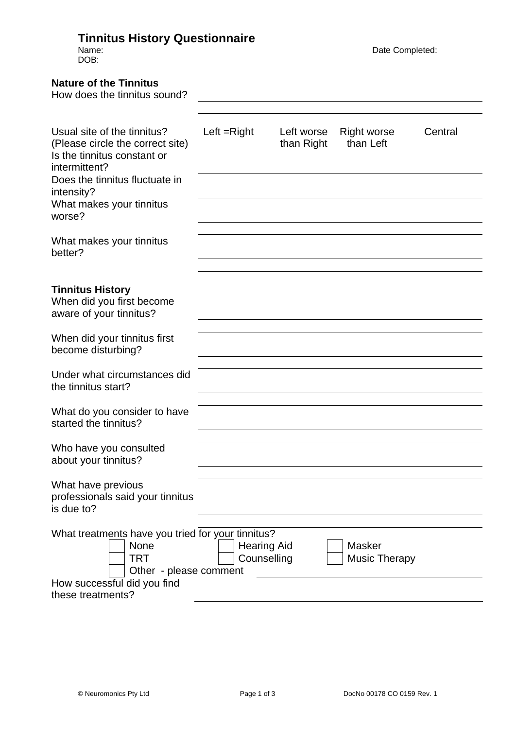## **Tinnitus History Questionnaire**

DOB:

Name: Completed: Completed: Completed: Completed: Completed: Completed: Completed: Completed: Completed: Completed: Completed: Completed: Completed: Completed: Completed: Completed: Completed: Completed: Completed: Complet

| <b>Nature of the Tinnitus</b><br>How does the tinnitus sound?                                                                                                                                         |               |                                   |                          |                                       |         |
|-------------------------------------------------------------------------------------------------------------------------------------------------------------------------------------------------------|---------------|-----------------------------------|--------------------------|---------------------------------------|---------|
| Usual site of the tinnitus?<br>(Please circle the correct site)<br>Is the tinnitus constant or<br>intermittent?<br>Does the tinnitus fluctuate in<br>intensity?<br>What makes your tinnitus<br>worse? | Left $=Right$ |                                   | Left worse<br>than Right | <b>Right worse</b><br>than Left       | Central |
| What makes your tinnitus<br>better?                                                                                                                                                                   |               |                                   |                          |                                       |         |
| <b>Tinnitus History</b><br>When did you first become<br>aware of your tinnitus?                                                                                                                       |               |                                   |                          |                                       |         |
| When did your tinnitus first<br>become disturbing?                                                                                                                                                    |               |                                   |                          |                                       |         |
| Under what circumstances did<br>the tinnitus start?                                                                                                                                                   |               |                                   |                          |                                       |         |
| What do you consider to have<br>started the tinnitus?                                                                                                                                                 |               |                                   |                          |                                       |         |
| Who have you consulted<br>about your tinnitus?                                                                                                                                                        |               |                                   |                          |                                       |         |
| What have previous<br>professionals said your tinnitus<br>is due to?                                                                                                                                  |               |                                   |                          |                                       |         |
| What treatments have you tried for your tinnitus?<br>None<br><b>TRT</b><br>Other - please comment                                                                                                     |               | <b>Hearing Aid</b><br>Counselling |                          | <b>Masker</b><br><b>Music Therapy</b> |         |
| How successful did you find<br>these treatments?                                                                                                                                                      |               |                                   |                          |                                       |         |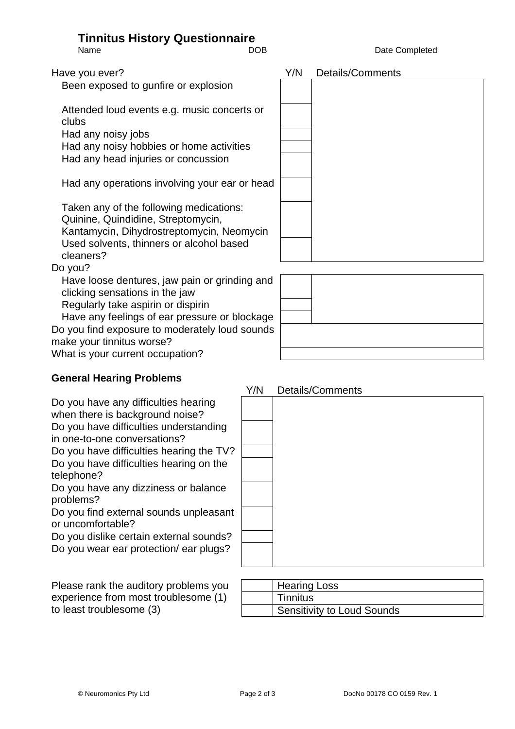# **Tinnitus History Questionnaire**

Name **DOB** DOB Date Completed

Been exposed to gunfire or explosion

Attended loud events e.g. music concerts or clubs Had any noisy jobs

Had any noisy hobbies or home activities Had any head injuries or concussion

Had any operations involving your ear or head

Taken any of the following medications: Quinine, Quindidine, Streptomycin, Kantamycin, Dihydrostreptomycin, Neomycin Used solvents, thinners or alcohol based cleaners?

#### Do you?

Have loose dentures, jaw pain or grinding and clicking sensations in the jaw

Regularly take aspirin or dispirin

Have any feelings of ear pressure or blockage Do you find exposure to moderately loud sounds make your tinnitus worse?

What is your current occupation?

### **General Hearing Problems**

Do you have any difficulties hearing when there is background noise? Do you have difficulties understanding in one-to-one conversations?

Do you have difficulties hearing the TV? Do you have difficulties hearing on the telephone?

Do you have any dizziness or balance problems?

Do you find external sounds unpleasant or uncomfortable?

Do you dislike certain external sounds? Do you wear ear protection/ ear plugs?

Please rank the auditory problems you experience from most troublesome (1) to least troublesome  $(3)$ 

| <b>Hearing Loss</b>               |
|-----------------------------------|
| <b>Tinnitus</b>                   |
| <b>Sensitivity to Loud Sounds</b> |



### Y/N Details/Comments

Have you ever? The same state of the state of the Y/N Details/Comments